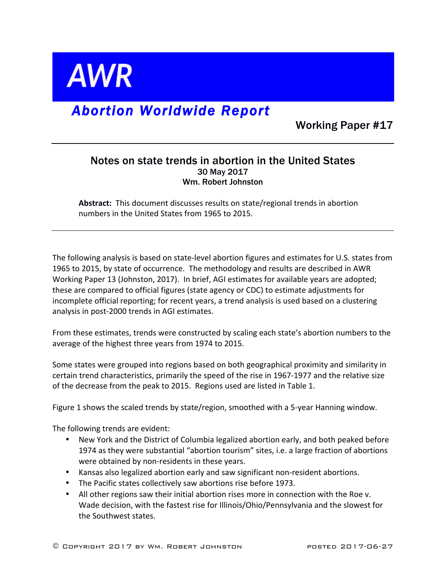

## *Abortion Worldwide Report*

Working Paper #17

## Notes on state trends in abortion in the United States 30 May 2017 Wm. Robert Johnston

Abstract: This document discusses results on state/regional trends in abortion numbers in the United States from 1965 to 2015.

The following analysis is based on state-level abortion figures and estimates for U.S. states from 1965 to 2015, by state of occurrence. The methodology and results are described in AWR Working Paper 13 (Johnston, 2017). In brief, AGI estimates for available years are adopted; these are compared to official figures (state agency or CDC) to estimate adjustments for incomplete official reporting; for recent years, a trend analysis is used based on a clustering analysis in post-2000 trends in AGI estimates.

From these estimates, trends were constructed by scaling each state's abortion numbers to the average of the highest three years from 1974 to 2015.

Some states were grouped into regions based on both geographical proximity and similarity in certain trend characteristics, primarily the speed of the rise in 1967-1977 and the relative size of the decrease from the peak to 2015. Regions used are listed in Table 1.

Figure 1 shows the scaled trends by state/region, smoothed with a 5-year Hanning window.

The following trends are evident:

- New York and the District of Columbia legalized abortion early, and both peaked before 1974 as they were substantial "abortion tourism" sites, i.e. a large fraction of abortions were obtained by non-residents in these years.
- Kansas also legalized abortion early and saw significant non-resident abortions.
- The Pacific states collectively saw abortions rise before 1973.
- All other regions saw their initial abortion rises more in connection with the Roe v. Wade decision, with the fastest rise for Illinois/Ohio/Pennsylvania and the slowest for the Southwest states.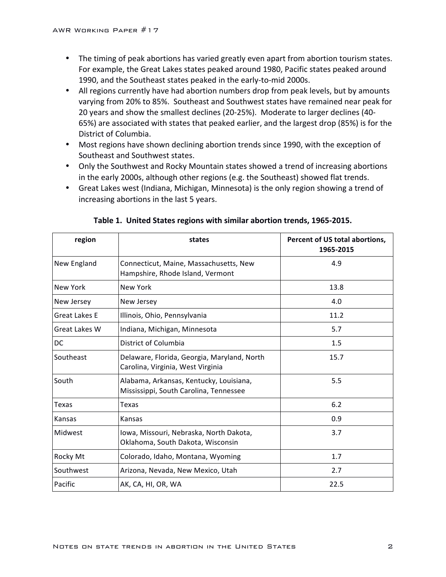- The timing of peak abortions has varied greatly even apart from abortion tourism states. For example, the Great Lakes states peaked around 1980, Pacific states peaked around 1990, and the Southeast states peaked in the early-to-mid 2000s.
- All regions currently have had abortion numbers drop from peak levels, but by amounts varying from 20% to 85%. Southeast and Southwest states have remained near peak for 20 years and show the smallest declines (20-25%). Moderate to larger declines (40-65%) are associated with states that peaked earlier, and the largest drop (85%) is for the District of Columbia.
- Most regions have shown declining abortion trends since 1990, with the exception of Southeast and Southwest states.
- Only the Southwest and Rocky Mountain states showed a trend of increasing abortions in the early 2000s, although other regions (e.g. the Southeast) showed flat trends.
- Great Lakes west (Indiana, Michigan, Minnesota) is the only region showing a trend of increasing abortions in the last 5 years.

| region               | states                                                                            | Percent of US total abortions,<br>1965-2015 |  |
|----------------------|-----------------------------------------------------------------------------------|---------------------------------------------|--|
| New England          | Connecticut, Maine, Massachusetts, New<br>Hampshire, Rhode Island, Vermont        | 4.9                                         |  |
| New York             | New York                                                                          | 13.8                                        |  |
| New Jersey           | 4.0<br>New Jersey                                                                 |                                             |  |
| Great Lakes E        | Illinois, Ohio, Pennsylvania                                                      | 11.2                                        |  |
| <b>Great Lakes W</b> | Indiana, Michigan, Minnesota                                                      | 5.7                                         |  |
| DC                   | District of Columbia                                                              | 1.5                                         |  |
| Southeast            | Delaware, Florida, Georgia, Maryland, North<br>Carolina, Virginia, West Virginia  | 15.7                                        |  |
| South                | Alabama, Arkansas, Kentucky, Louisiana,<br>Mississippi, South Carolina, Tennessee | 5.5                                         |  |
| Texas                | Texas                                                                             | 6.2                                         |  |
| Kansas               | Kansas                                                                            | 0.9                                         |  |
| Midwest              | Iowa, Missouri, Nebraska, North Dakota,<br>Oklahoma, South Dakota, Wisconsin      | 3.7                                         |  |
| Rocky Mt             | Colorado, Idaho, Montana, Wyoming                                                 | 1.7                                         |  |
| Southwest            | Arizona, Nevada, New Mexico, Utah                                                 | 2.7                                         |  |
| Pacific              | AK, CA, HI, OR, WA                                                                | 22.5                                        |  |

|  |  |  |  | Table 1. United States regions with similar abortion trends, 1965-2015. |
|--|--|--|--|-------------------------------------------------------------------------|
|--|--|--|--|-------------------------------------------------------------------------|